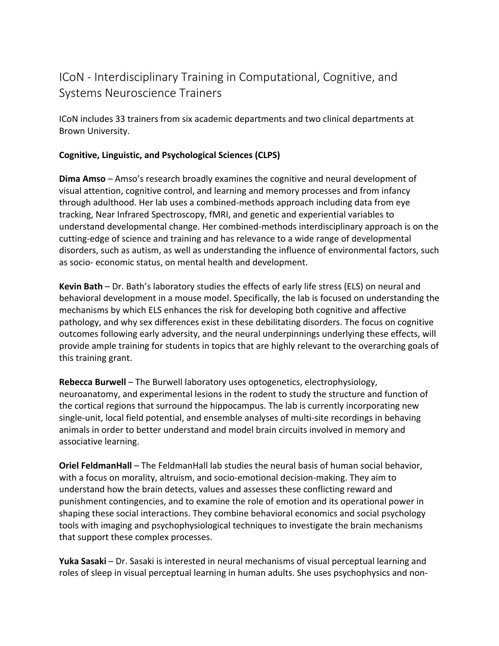# ICoN - Interdisciplinary Training in Computational, Cognitive, and Systems Neuroscience Trainers

ICoN includes 33 trainers from six academic departments and two clinical departments at Brown University.

# **Cognitive, Linguistic, and Psychological Sciences (CLPS)**

**Dima Amso** – Amso's research broadly examines the cognitive and neural development of visual attention, cognitive control, and learning and memory processes and from infancy through adulthood. Her lab uses a combined-methods approach including data from eye tracking, Near Infrared Spectroscopy, fMRI, and genetic and experiential variables to understand developmental change. Her combined-methods interdisciplinary approach is on the cutting-edge of science and training and has relevance to a wide range of developmental disorders, such as autism, as well as understanding the influence of environmental factors, such as socio- economic status, on mental health and development.

**Kevin Bath** – Dr. Bath's laboratory studies the effects of early life stress (ELS) on neural and behavioral development in a mouse model. Specifically, the lab is focused on understanding the mechanisms by which ELS enhances the risk for developing both cognitive and affective pathology, and why sex differences exist in these debilitating disorders. The focus on cognitive outcomes following early adversity, and the neural underpinnings underlying these effects, will provide ample training for students in topics that are highly relevant to the overarching goals of this training grant.

**Rebecca Burwell** – The Burwell laboratory uses optogenetics, electrophysiology, neuroanatomy, and experimental lesions in the rodent to study the structure and function of the cortical regions that surround the hippocampus. The lab is currently incorporating new single-unit, local field potential, and ensemble analyses of multi-site recordings in behaving animals in order to better understand and model brain circuits involved in memory and associative learning.

**Oriel FeldmanHall** – The FeldmanHall lab studies the neural basis of human social behavior, with a focus on morality, altruism, and socio-emotional decision-making. They aim to understand how the brain detects, values and assesses these conflicting reward and punishment contingencies, and to examine the role of emotion and its operational power in shaping these social interactions. They combine behavioral economics and social psychology tools with imaging and psychophysiological techniques to investigate the brain mechanisms that support these complex processes.

**Yuka Sasaki** – Dr. Sasaki is interested in neural mechanisms of visual perceptual learning and roles of sleep in visual perceptual learning in human adults. She uses psychophysics and non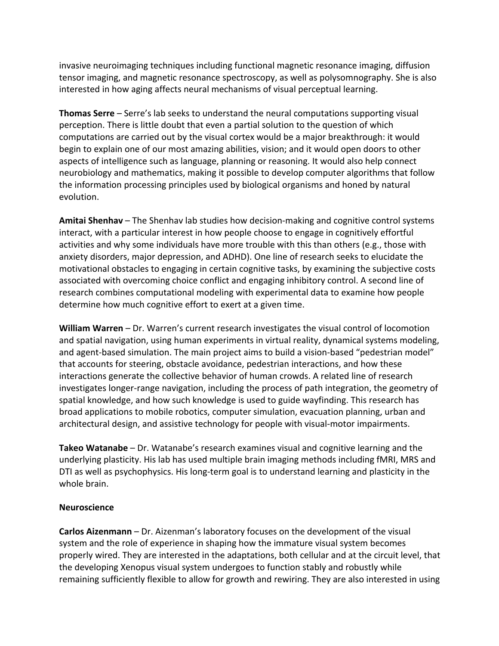invasive neuroimaging techniques including functional magnetic resonance imaging, diffusion tensor imaging, and magnetic resonance spectroscopy, as well as polysomnography. She is also interested in how aging affects neural mechanisms of visual perceptual learning.

**Thomas Serre** – Serre's lab seeks to understand the neural computations supporting visual perception. There is little doubt that even a partial solution to the question of which computations are carried out by the visual cortex would be a major breakthrough: it would begin to explain one of our most amazing abilities, vision; and it would open doors to other aspects of intelligence such as language, planning or reasoning. It would also help connect neurobiology and mathematics, making it possible to develop computer algorithms that follow the information processing principles used by biological organisms and honed by natural evolution.

**Amitai Shenhav** – The Shenhav lab studies how decision-making and cognitive control systems interact, with a particular interest in how people choose to engage in cognitively effortful activities and why some individuals have more trouble with this than others (e.g., those with anxiety disorders, major depression, and ADHD). One line of research seeks to elucidate the motivational obstacles to engaging in certain cognitive tasks, by examining the subjective costs associated with overcoming choice conflict and engaging inhibitory control. A second line of research combines computational modeling with experimental data to examine how people determine how much cognitive effort to exert at a given time.

**William Warren** – Dr. Warren's current research investigates the visual control of locomotion and spatial navigation, using human experiments in virtual reality, dynamical systems modeling, and agent-based simulation. The main project aims to build a vision-based "pedestrian model" that accounts for steering, obstacle avoidance, pedestrian interactions, and how these interactions generate the collective behavior of human crowds. A related line of research investigates longer-range navigation, including the process of path integration, the geometry of spatial knowledge, and how such knowledge is used to guide wayfinding. This research has broad applications to mobile robotics, computer simulation, evacuation planning, urban and architectural design, and assistive technology for people with visual-motor impairments.

**Takeo Watanabe** – Dr. Watanabe's research examines visual and cognitive learning and the underlying plasticity. His lab has used multiple brain imaging methods including fMRI, MRS and DTI as well as psychophysics. His long-term goal is to understand learning and plasticity in the whole brain.

#### **Neuroscience**

**Carlos Aizenmann** – Dr. Aizenman's laboratory focuses on the development of the visual system and the role of experience in shaping how the immature visual system becomes properly wired. They are interested in the adaptations, both cellular and at the circuit level, that the developing Xenopus visual system undergoes to function stably and robustly while remaining sufficiently flexible to allow for growth and rewiring. They are also interested in using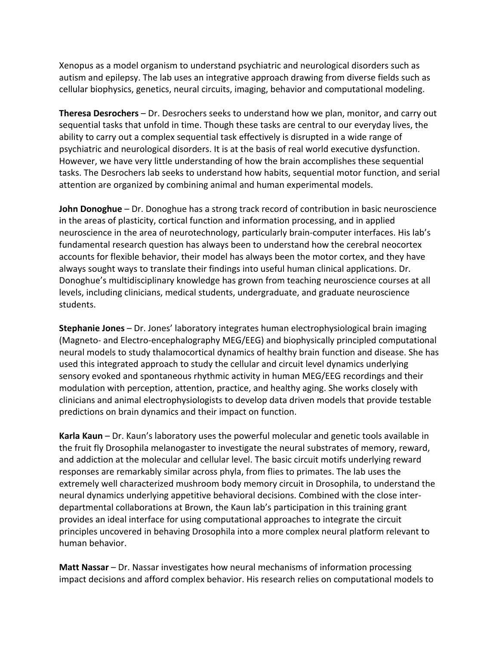Xenopus as a model organism to understand psychiatric and neurological disorders such as autism and epilepsy. The lab uses an integrative approach drawing from diverse fields such as cellular biophysics, genetics, neural circuits, imaging, behavior and computational modeling.

**Theresa Desrochers** – Dr. Desrochers seeks to understand how we plan, monitor, and carry out sequential tasks that unfold in time. Though these tasks are central to our everyday lives, the ability to carry out a complex sequential task effectively is disrupted in a wide range of psychiatric and neurological disorders. It is at the basis of real world executive dysfunction. However, we have very little understanding of how the brain accomplishes these sequential tasks. The Desrochers lab seeks to understand how habits, sequential motor function, and serial attention are organized by combining animal and human experimental models.

**John Donoghue** – Dr. Donoghue has a strong track record of contribution in basic neuroscience in the areas of plasticity, cortical function and information processing, and in applied neuroscience in the area of neurotechnology, particularly brain-computer interfaces. His lab's fundamental research question has always been to understand how the cerebral neocortex accounts for flexible behavior, their model has always been the motor cortex, and they have always sought ways to translate their findings into useful human clinical applications. Dr. Donoghue's multidisciplinary knowledge has grown from teaching neuroscience courses at all levels, including clinicians, medical students, undergraduate, and graduate neuroscience students.

**Stephanie Jones** – Dr. Jones' laboratory integrates human electrophysiological brain imaging (Magneto- and Electro-encephalography MEG/EEG) and biophysically principled computational neural models to study thalamocortical dynamics of healthy brain function and disease. She has used this integrated approach to study the cellular and circuit level dynamics underlying sensory evoked and spontaneous rhythmic activity in human MEG/EEG recordings and their modulation with perception, attention, practice, and healthy aging. She works closely with clinicians and animal electrophysiologists to develop data driven models that provide testable predictions on brain dynamics and their impact on function.

**Karla Kaun** – Dr. Kaun's laboratory uses the powerful molecular and genetic tools available in the fruit fly Drosophila melanogaster to investigate the neural substrates of memory, reward, and addiction at the molecular and cellular level. The basic circuit motifs underlying reward responses are remarkably similar across phyla, from flies to primates. The lab uses the extremely well characterized mushroom body memory circuit in Drosophila, to understand the neural dynamics underlying appetitive behavioral decisions. Combined with the close interdepartmental collaborations at Brown, the Kaun lab's participation in this training grant provides an ideal interface for using computational approaches to integrate the circuit principles uncovered in behaving Drosophila into a more complex neural platform relevant to human behavior.

**Matt Nassar** – Dr. Nassar investigates how neural mechanisms of information processing impact decisions and afford complex behavior. His research relies on computational models to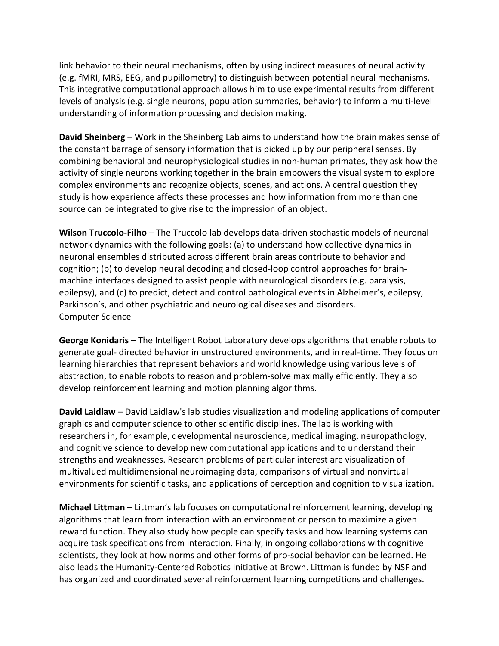link behavior to their neural mechanisms, often by using indirect measures of neural activity (e.g. fMRI, MRS, EEG, and pupillometry) to distinguish between potential neural mechanisms. This integrative computational approach allows him to use experimental results from different levels of analysis (e.g. single neurons, population summaries, behavior) to inform a multi-level understanding of information processing and decision making.

**David Sheinberg** – Work in the Sheinberg Lab aims to understand how the brain makes sense of the constant barrage of sensory information that is picked up by our peripheral senses. By combining behavioral and neurophysiological studies in non-human primates, they ask how the activity of single neurons working together in the brain empowers the visual system to explore complex environments and recognize objects, scenes, and actions. A central question they study is how experience affects these processes and how information from more than one source can be integrated to give rise to the impression of an object.

**Wilson Truccolo-Filho** – The Truccolo lab develops data-driven stochastic models of neuronal network dynamics with the following goals: (a) to understand how collective dynamics in neuronal ensembles distributed across different brain areas contribute to behavior and cognition; (b) to develop neural decoding and closed-loop control approaches for brainmachine interfaces designed to assist people with neurological disorders (e.g. paralysis, epilepsy), and (c) to predict, detect and control pathological events in Alzheimer's, epilepsy, Parkinson's, and other psychiatric and neurological diseases and disorders. Computer Science

**George Konidaris** – The Intelligent Robot Laboratory develops algorithms that enable robots to generate goal- directed behavior in unstructured environments, and in real-time. They focus on learning hierarchies that represent behaviors and world knowledge using various levels of abstraction, to enable robots to reason and problem-solve maximally efficiently. They also develop reinforcement learning and motion planning algorithms.

**David Laidlaw** – David Laidlaw's lab studies visualization and modeling applications of computer graphics and computer science to other scientific disciplines. The lab is working with researchers in, for example, developmental neuroscience, medical imaging, neuropathology, and cognitive science to develop new computational applications and to understand their strengths and weaknesses. Research problems of particular interest are visualization of multivalued multidimensional neuroimaging data, comparisons of virtual and nonvirtual environments for scientific tasks, and applications of perception and cognition to visualization.

**Michael Littman** – Littman's lab focuses on computational reinforcement learning, developing algorithms that learn from interaction with an environment or person to maximize a given reward function. They also study how people can specify tasks and how learning systems can acquire task specifications from interaction. Finally, in ongoing collaborations with cognitive scientists, they look at how norms and other forms of pro-social behavior can be learned. He also leads the Humanity-Centered Robotics Initiative at Brown. Littman is funded by NSF and has organized and coordinated several reinforcement learning competitions and challenges.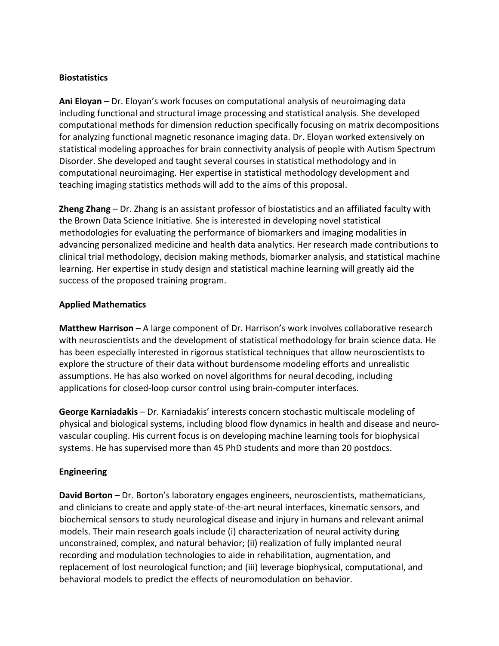### **Biostatistics**

**Ani Eloyan** – Dr. Eloyan's work focuses on computational analysis of neuroimaging data including functional and structural image processing and statistical analysis. She developed computational methods for dimension reduction specifically focusing on matrix decompositions for analyzing functional magnetic resonance imaging data. Dr. Eloyan worked extensively on statistical modeling approaches for brain connectivity analysis of people with Autism Spectrum Disorder. She developed and taught several courses in statistical methodology and in computational neuroimaging. Her expertise in statistical methodology development and teaching imaging statistics methods will add to the aims of this proposal.

**Zheng Zhang** – Dr. Zhang is an assistant professor of biostatistics and an affiliated faculty with the Brown Data Science Initiative. She is interested in developing novel statistical methodologies for evaluating the performance of biomarkers and imaging modalities in advancing personalized medicine and health data analytics. Her research made contributions to clinical trial methodology, decision making methods, biomarker analysis, and statistical machine learning. Her expertise in study design and statistical machine learning will greatly aid the success of the proposed training program.

## **Applied Mathematics**

**Matthew Harrison** – A large component of Dr. Harrison's work involves collaborative research with neuroscientists and the development of statistical methodology for brain science data. He has been especially interested in rigorous statistical techniques that allow neuroscientists to explore the structure of their data without burdensome modeling efforts and unrealistic assumptions. He has also worked on novel algorithms for neural decoding, including applications for closed-loop cursor control using brain-computer interfaces.

**George Karniadakis** – Dr. Karniadakis' interests concern stochastic multiscale modeling of physical and biological systems, including blood flow dynamics in health and disease and neurovascular coupling. His current focus is on developing machine learning tools for biophysical systems. He has supervised more than 45 PhD students and more than 20 postdocs.

# **Engineering**

**David Borton** – Dr. Borton's laboratory engages engineers, neuroscientists, mathematicians, and clinicians to create and apply state-of-the-art neural interfaces, kinematic sensors, and biochemical sensors to study neurological disease and injury in humans and relevant animal models. Their main research goals include (i) characterization of neural activity during unconstrained, complex, and natural behavior; (ii) realization of fully implanted neural recording and modulation technologies to aide in rehabilitation, augmentation, and replacement of lost neurological function; and (iii) leverage biophysical, computational, and behavioral models to predict the effects of neuromodulation on behavior.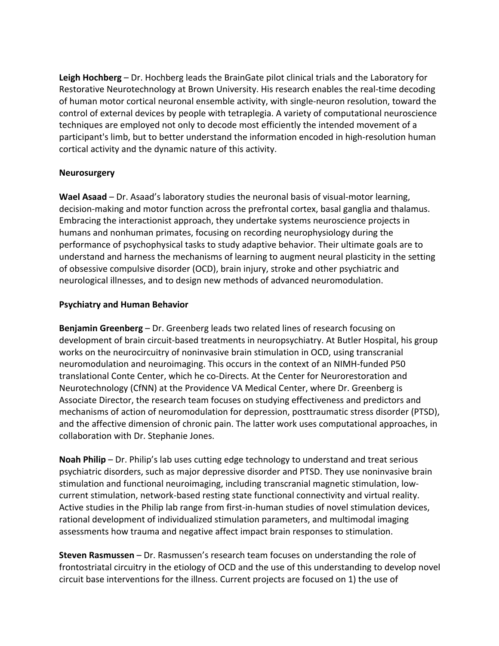**Leigh Hochberg** – Dr. Hochberg leads the BrainGate pilot clinical trials and the Laboratory for Restorative Neurotechnology at Brown University. His research enables the real-time decoding of human motor cortical neuronal ensemble activity, with single-neuron resolution, toward the control of external devices by people with tetraplegia. A variety of computational neuroscience techniques are employed not only to decode most efficiently the intended movement of a participant's limb, but to better understand the information encoded in high-resolution human cortical activity and the dynamic nature of this activity.

#### **Neurosurgery**

**Wael Asaad** – Dr. Asaad's laboratory studies the neuronal basis of visual-motor learning, decision-making and motor function across the prefrontal cortex, basal ganglia and thalamus. Embracing the interactionist approach, they undertake systems neuroscience projects in humans and nonhuman primates, focusing on recording neurophysiology during the performance of psychophysical tasks to study adaptive behavior. Their ultimate goals are to understand and harness the mechanisms of learning to augment neural plasticity in the setting of obsessive compulsive disorder (OCD), brain injury, stroke and other psychiatric and neurological illnesses, and to design new methods of advanced neuromodulation.

## **Psychiatry and Human Behavior**

**Benjamin Greenberg** – Dr. Greenberg leads two related lines of research focusing on development of brain circuit-based treatments in neuropsychiatry. At Butler Hospital, his group works on the neurocircuitry of noninvasive brain stimulation in OCD, using transcranial neuromodulation and neuroimaging. This occurs in the context of an NIMH-funded P50 translational Conte Center, which he co-Directs. At the Center for Neurorestoration and Neurotechnology (CfNN) at the Providence VA Medical Center, where Dr. Greenberg is Associate Director, the research team focuses on studying effectiveness and predictors and mechanisms of action of neuromodulation for depression, posttraumatic stress disorder (PTSD), and the affective dimension of chronic pain. The latter work uses computational approaches, in collaboration with Dr. Stephanie Jones.

**Noah Philip** – Dr. Philip's lab uses cutting edge technology to understand and treat serious psychiatric disorders, such as major depressive disorder and PTSD. They use noninvasive brain stimulation and functional neuroimaging, including transcranial magnetic stimulation, lowcurrent stimulation, network-based resting state functional connectivity and virtual reality. Active studies in the Philip lab range from first-in-human studies of novel stimulation devices, rational development of individualized stimulation parameters, and multimodal imaging assessments how trauma and negative affect impact brain responses to stimulation.

**Steven Rasmussen** – Dr. Rasmussen's research team focuses on understanding the role of frontostriatal circuitry in the etiology of OCD and the use of this understanding to develop novel circuit base interventions for the illness. Current projects are focused on 1) the use of